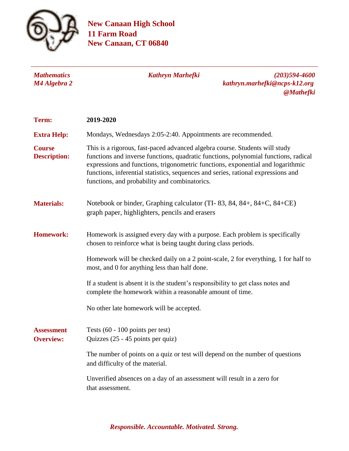

**New Canaan High School 11 Farm Road New Canaan, CT 06840**

| <b>Mathematics</b><br>M4 Algebra 2    | <b>Kathryn Marhefki</b><br>$(203)594 - 4600$<br>kathryn.marhefki@ncps-k12.org<br><b>@Mathefki</b>                                                                                                                                                                                                                                                                                           |
|---------------------------------------|---------------------------------------------------------------------------------------------------------------------------------------------------------------------------------------------------------------------------------------------------------------------------------------------------------------------------------------------------------------------------------------------|
| Term:                                 | 2019-2020                                                                                                                                                                                                                                                                                                                                                                                   |
| <b>Extra Help:</b>                    | Mondays, Wednesdays 2:05-2:40. Appointments are recommended.                                                                                                                                                                                                                                                                                                                                |
| <b>Course</b><br><b>Description:</b>  | This is a rigorous, fast-paced advanced algebra course. Students will study<br>functions and inverse functions, quadratic functions, polynomial functions, radical<br>expressions and functions, trigonometric functions, exponential and logarithmic<br>functions, inferential statistics, sequences and series, rational expressions and<br>functions, and probability and combinatorics. |
| <b>Materials:</b>                     | Notebook or binder, Graphing calculator (TI-83, 84, 84+, 84+C, 84+CE)<br>graph paper, highlighters, pencils and erasers                                                                                                                                                                                                                                                                     |
| <b>Homework:</b>                      | Homework is assigned every day with a purpose. Each problem is specifically<br>chosen to reinforce what is being taught during class periods.                                                                                                                                                                                                                                               |
|                                       | Homework will be checked daily on a 2 point-scale, 2 for everything, 1 for half to<br>most, and 0 for anything less than half done.                                                                                                                                                                                                                                                         |
|                                       | If a student is absent it is the student's responsibility to get class notes and<br>complete the homework within a reasonable amount of time.                                                                                                                                                                                                                                               |
|                                       | No other late homework will be accepted.                                                                                                                                                                                                                                                                                                                                                    |
| <b>Assessment</b><br><b>Overview:</b> | Tests $(60 - 100 \text{ points per test})$<br>Quizzes (25 - 45 points per quiz)                                                                                                                                                                                                                                                                                                             |
|                                       | The number of points on a quiz or test will depend on the number of questions<br>and difficulty of the material.                                                                                                                                                                                                                                                                            |
|                                       | Unverified absences on a day of an assessment will result in a zero for<br>that assessment.                                                                                                                                                                                                                                                                                                 |